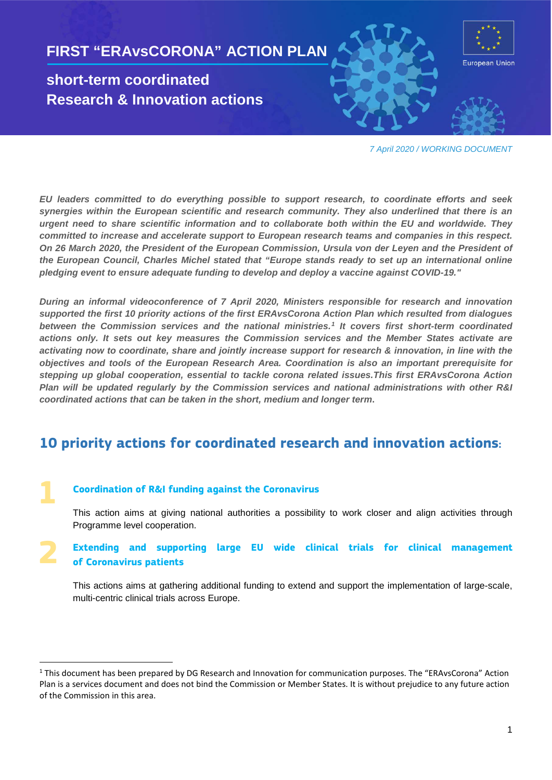

*7 April 2020 / WORKING DOCUMENT*

*EU leaders committed to do everything possible to support research, to coordinate efforts and seek synergies within the European scientific and research community. They also underlined that there is an urgent need to share scientific information and to collaborate both within the EU and worldwide. They committed to increase and accelerate support to European research teams and companies in this respect. On 26 March 2020, the President of the European Commission, Ursula von der Leyen and the President of the European Council, Charles Michel stated that "Europe stands ready to set up an international online pledging event to ensure adequate funding to develop and deploy a vaccine against COVID-19."*

*During an informal videoconference of 7 April 2020, Ministers responsible for research and innovation supported the first 10 priority actions of the first ERAvsCorona Action Plan which resulted from dialogues between the Commission services and the national ministries.[1](#page-0-0) It covers first short-term coordinated actions only. It sets out key measures the Commission services and the Member States activate are activating now to coordinate, share and jointly increase support for research & innovation, in line with the objectives and tools of the European Research Area. Coordination is also an important prerequisite for stepping up global cooperation, essential to tackle corona related issues.This first ERAvsCorona Action Plan will be updated regularly by the Commission services and national administrations with other R&I coordinated actions that can be taken in the short, medium and longer term***.** 

### **10 priority actions for coordinated research and innovation actions:**

#### **Coordination of R&I funding against the Coronavirus**

**1**

This action aims at giving national authorities a possibility to work closer and align activities through Programme level cooperation.

**Extending and supporting large EU wide clinical trials for clinical management of Coronavirus patients 2**

This actions aims at gathering additional funding to extend and support the implementation of large-scale, multi-centric clinical trials across Europe.

<span id="page-0-0"></span><sup>&</sup>lt;sup>1</sup> This document has been prepared by DG Research and Innovation for communication purposes. The "ERAvsCorona" Action Plan is a services document and does not bind the Commission or Member States. It is without prejudice to any future action of the Commission in this area.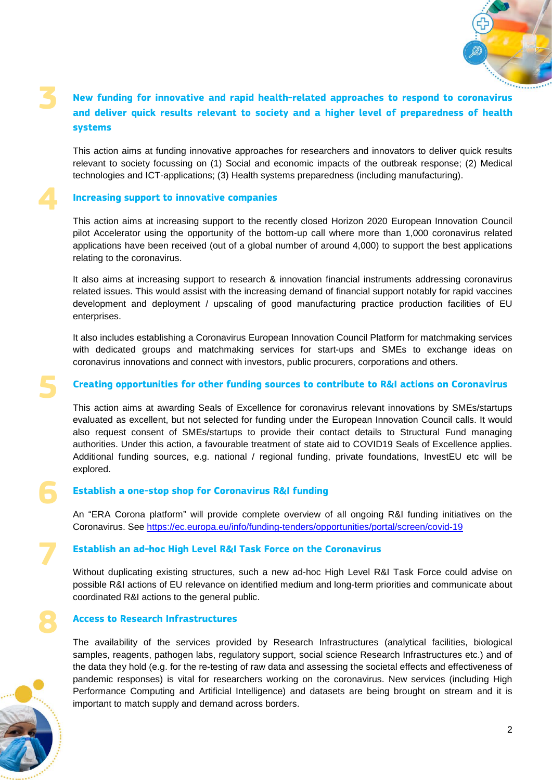

### **New funding for innovative and rapid health-related approaches to respond to coronavirus and deliver quick results relevant to society and a higher level of preparedness of health systems 3**

This action aims at funding innovative approaches for researchers and innovators to deliver quick results relevant to society focussing on (1) Social and economic impacts of the outbreak response; (2) Medical technologies and ICT-applications; (3) Health systems preparedness (including manufacturing).

#### **Increasing support to innovative companies**

This action aims at increasing support to the recently closed Horizon 2020 European Innovation Council pilot Accelerator using the opportunity of the bottom-up call where more than 1,000 coronavirus related applications have been received (out of a global number of around 4,000) to support the best applications relating to the coronavirus.

It also aims at increasing support to research & innovation financial instruments addressing coronavirus related issues. This would assist with the increasing demand of financial support notably for rapid vaccines development and deployment / upscaling of good manufacturing practice production facilities of EU enterprises.

It also includes establishing a Coronavirus European Innovation Council Platform for matchmaking services with dedicated groups and matchmaking services for start-ups and SMEs to exchange ideas on coronavirus innovations and connect with investors, public procurers, corporations and others.

### **Creating opportunities for other funding sources to contribute to R&I actions on Coronavirus**

This action aims at awarding Seals of Excellence for coronavirus relevant innovations by SMEs/startups evaluated as excellent, but not selected for funding under the European Innovation Council calls. It would also request consent of SMEs/startups to provide their contact details to Structural Fund managing authorities. Under this action, a favourable treatment of state aid to COVID19 Seals of Excellence applies. Additional funding sources, e.g. national / regional funding, private foundations, InvestEU etc will be explored.

# **Establish a one-stop shop for Coronavirus R&I funding 6**

An "ERA Corona platform" will provide complete overview of all ongoing R&I funding initiatives on the Coronavirus. See<https://ec.europa.eu/info/funding-tenders/opportunities/portal/screen/covid-19>

# **Establish an ad-hoc High Level R&I Task Force on the Coronavirus 7**

Without duplicating existing structures, such a new ad-hoc High Level R&I Task Force could advise on possible R&I actions of EU relevance on identified medium and long-term priorities and communicate about coordinated R&I actions to the general public.

### **Access to Research Infrastructures**

The availability of the services provided by Research Infrastructures (analytical facilities, biological samples, reagents, pathogen labs, regulatory support, social science Research Infrastructures etc.) and of the data they hold (e.g. for the re-testing of raw data and assessing the societal effects and effectiveness of pandemic responses) is vital for researchers working on the coronavirus. New services (including High Performance Computing and Artificial Intelligence) and datasets are being brought on stream and it is important to match supply and demand across borders.



**8**

**4**

**5**